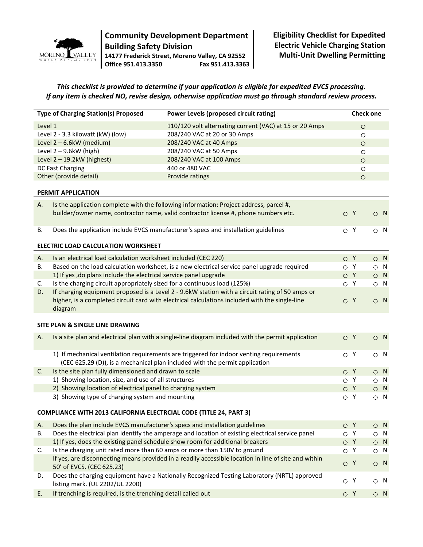

## **Community Development Department Building Safety Division 14177 Frederick Street, Moreno Valley, CA 92552 Office 951.413.3350 Fax 951.413.3363**

**Eligibility Checklist for Expedited Electric Vehicle Charging Station Multi-Unit Dwelling Permitting** 

## *This checklist is provided to determine if your application is eligible for expedited EVCS processing. If any item is checked NO, revise design, otherwise application must go through standard review process.*

| <b>Type of Charging Station(s) Proposed</b> |                                                                                         | Power Levels (proposed circuit rating)                                                               |           | <b>Check one</b> |           |           |
|---------------------------------------------|-----------------------------------------------------------------------------------------|------------------------------------------------------------------------------------------------------|-----------|------------------|-----------|-----------|
| Level 1                                     |                                                                                         | 110/120 volt alternating current (VAC) at 15 or 20 Amps                                              |           | $\circ$          |           |           |
|                                             | Level 2 - 3.3 kilowatt (kW) (low)                                                       | 208/240 VAC at 20 or 30 Amps                                                                         |           | $\circ$          |           |           |
|                                             | Level 2-6.6kW (medium)                                                                  | 208/240 VAC at 40 Amps                                                                               |           | $\circ$          |           |           |
| Level $2 - 9.6$ kW (high)                   |                                                                                         | 208/240 VAC at 50 Amps                                                                               |           | $\circ$          |           |           |
| Level $2 - 19.2$ kW (highest)               |                                                                                         | 208/240 VAC at 100 Amps                                                                              |           | $\circ$          |           |           |
|                                             | DC Fast Charging                                                                        | 440 or 480 VAC                                                                                       |           | $\circ$          |           |           |
|                                             | Other (provide detail)                                                                  | Provide ratings                                                                                      |           | $\circ$          |           |           |
|                                             | PERMIT APPLICATION                                                                      |                                                                                                      |           |                  |           |           |
|                                             |                                                                                         |                                                                                                      |           |                  |           |           |
| А.                                          |                                                                                         | Is the application complete with the following information: Project address, parcel #,               |           |                  |           |           |
|                                             |                                                                                         | builder/owner name, contractor name, valid contractor license #, phone numbers etc.                  | O Y       |                  | $\circ$ N |           |
| В.                                          |                                                                                         | Does the application include EVCS manufacturer's specs and installation guidelines                   | $\circ$ Y |                  | $\circ$ N |           |
|                                             |                                                                                         |                                                                                                      |           |                  |           |           |
|                                             | ELECTRIC LOAD CALCULATION WORKSHEET                                                     |                                                                                                      |           |                  |           |           |
| Α.                                          | Is an electrical load calculation worksheet included (CEC 220)                          |                                                                                                      | O Y       |                  |           | $\circ$ N |
| В.                                          |                                                                                         | Based on the load calculation worksheet, is a new electrical service panel upgrade required          | $\circ$ Y |                  |           | $\circ$ N |
|                                             | 1) If yes, do plans include the electrical service panel upgrade                        |                                                                                                      | O Y       |                  |           | $\circ$ N |
| C.                                          | Is the charging circuit appropriately sized for a continuous load (125%)                |                                                                                                      | $\circ$ Y |                  | $\circ$ N |           |
| D.                                          |                                                                                         | If charging equipment proposed is a Level 2 - 9.6kW station with a circuit rating of 50 amps or      |           |                  |           |           |
|                                             |                                                                                         | higher, is a completed circuit card with electrical calculations included with the single-line       | O Y       |                  | $\circ$ N |           |
|                                             | diagram                                                                                 |                                                                                                      |           |                  |           |           |
|                                             |                                                                                         |                                                                                                      |           |                  |           |           |
|                                             | SITE PLAN & SINGLE LINE DRAWING                                                         |                                                                                                      |           |                  |           |           |
| Α.                                          |                                                                                         | Is a site plan and electrical plan with a single-line diagram included with the permit application   | O Y       |                  | $\circ$ N |           |
|                                             |                                                                                         |                                                                                                      |           |                  |           |           |
|                                             | 1) If mechanical ventilation requirements are triggered for indoor venting requirements |                                                                                                      | $\circ$ Y |                  | $\circ$ N |           |
|                                             |                                                                                         | (CEC 625.29 (D)), is a mechanical plan included with the permit application                          |           |                  |           |           |
| C.                                          | Is the site plan fully dimensioned and drawn to scale                                   |                                                                                                      | O Y       |                  | $\circ$ N |           |
|                                             | 1) Showing location, size, and use of all structures                                    |                                                                                                      | $\circ$ Y |                  |           | $\circ$ N |
|                                             | 2) Showing location of electrical panel to charging system                              |                                                                                                      | OY        |                  |           | $\circ$ N |
|                                             | 3) Showing type of charging system and mounting                                         |                                                                                                      | $\circ$ Y |                  | $\circ$ N |           |
|                                             | <b>COMPLIANCE WITH 2013 CALIFORNIA ELECTRCIAL CODE (TITLE 24, PART 3)</b>               |                                                                                                      |           |                  |           |           |
| А.                                          | Does the plan include EVCS manufacturer's specs and installation guidelines             |                                                                                                      | O Y       |                  | $\circ$ N |           |
| В.                                          |                                                                                         | Does the electrical plan identify the amperage and location of existing electrical service panel     | O         | Y                |           | $\circ$ N |
|                                             | 1) If yes, does the existing panel schedule show room for additional breakers           |                                                                                                      | O Y       |                  |           | $\circ$ N |
| C.                                          | Is the charging unit rated more than 60 amps or more than 150V to ground                |                                                                                                      | $\circ$ Y |                  |           | $\circ$ N |
|                                             |                                                                                         | If yes, are disconnecting means provided in a readily accessible location in line of site and within |           |                  |           |           |
|                                             | 50' of EVCS. (CEC 625.23)                                                               |                                                                                                      | O Y       |                  | $\circ$ N |           |
| D.                                          |                                                                                         | Does the charging equipment have a Nationally Recognized Testing Laboratory (NRTL) approved          | O Y       |                  |           |           |
|                                             | listing mark. (UL 2202/UL 2200)                                                         |                                                                                                      |           |                  | $\circ$ N |           |
| Ε.                                          | If trenching is required, is the trenching detail called out                            |                                                                                                      | O Y       |                  |           | $\circ$ N |